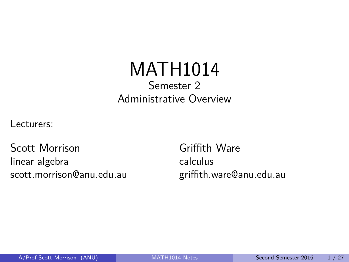## MATH1014 Semester 2 Administrative Overview

<span id="page-0-0"></span>Lecturers:

Scott Morrison linear algebra scott.morrison@anu.edu.au

Griffith Ware calculus griffith.ware@anu.edu.au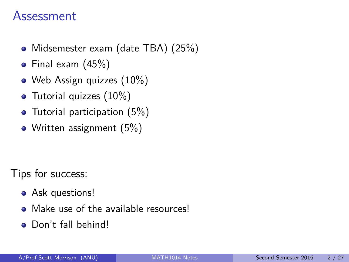### Assessment

- Midsemester exam (date TBA) (25%)
- Final exam (45%)
- Web Assign quizzes (10%)
- Tutorial quizzes  $(10\%)$
- Tutorial participation (5%)
- Written assignment (5%)

Tips for success:

- Ask questions!
- Make use of the available resources!
- Don't fall behind!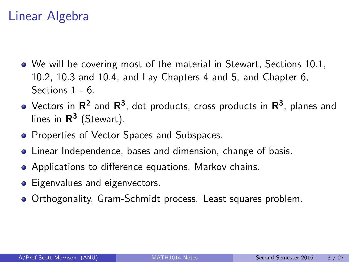## Linear Algebra

- We will be covering most of the material in Stewart, Sections 10.1, 10.2, 10.3 and 10.4, and Lay Chapters 4 and 5, and Chapter 6, Sections 1 - 6.
- Vectors in  $\mathsf{R}^2$  and  $\mathsf{R}^3$ , dot products, cross products in  $\mathsf{R}^3$ , planes and lines in **R 3** (Stewart).
- Properties of Vector Spaces and Subspaces.
- Linear Independence, bases and dimension, change of basis.
- Applications to difference equations, Markov chains.
- Eigenvalues and eigenvectors.
- Orthogonality, Gram-Schmidt process. Least squares problem.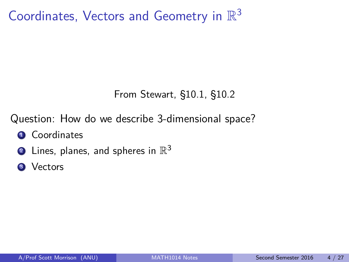Coordinates, Vectors and Geometry in  $\mathbb{R}^3$ 

### From Stewart, §10.1, §10.2

Question: How do we describe 3-dimensional space?

- **1** Coordinates
- $\overline{\textbf{2}}$  Lines, planes, and spheres in  $\mathbb{R}^3$
- <sup>3</sup> Vectors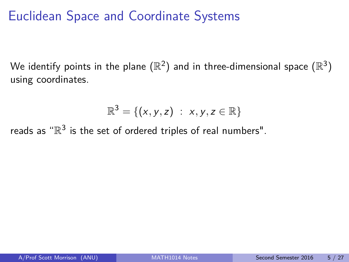# Euclidean Space and Coordinate Systems

We identify points in the plane  $(\mathbb{R}^2)$  and in three-dimensional space  $(\mathbb{R}^3)$ using coordinates.

$$
\mathbb{R}^3 = \{ (x, y, z) : x, y, z \in \mathbb{R} \}
$$

reads as " $\mathbb{R}^3$  is the set of ordered triples of real numbers".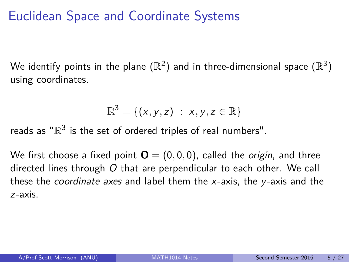# Euclidean Space and Coordinate Systems

We identify points in the plane  $(\mathbb{R}^2)$  and in three-dimensional space  $(\mathbb{R}^3)$ using coordinates.

$$
\mathbb{R}^3 = \{ (x, y, z) : x, y, z \in \mathbb{R} \}
$$

reads as " $\mathbb{R}^3$  is the set of ordered triples of real numbers".

We first choose a fixed point  $\mathbf{O} = (0,0,0)$ , called the *origin*, and three directed lines through O that are perpendicular to each other. We call these the *coordinate axes* and label them the  $x$ -axis, the  $y$ -axis and the z-axis.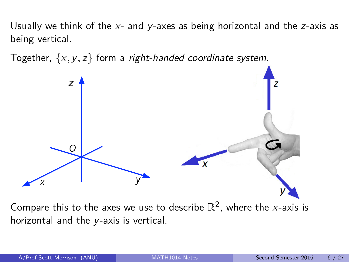Usually we think of the  $x$ - and  $y$ -axes as being horizontal and the  $z$ -axis as being vertical.

Together,  $\{x, y, z\}$  form a *right-handed coordinate system*.



horizontal and the y-axis is vertical.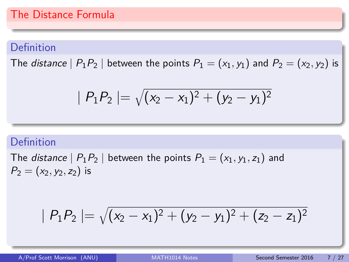### Definition

The *distance*  $|P_1P_2|$  between the points  $P_1 = (x_1, y_1)$  and  $P_2 = (x_2, y_2)$  is

$$
\mid P_1P_2\mid=\sqrt{(x_2-x_1)^2+(y_2-y_1)^2}
$$

### Definition

The *distance*  $| P_1P_2 |$  between the points  $P_1 = (x_1, y_1, z_1)$  and  $P_2 = (x_2, y_2, z_2)$  is

$$
\mid P_1P_2\mid=\sqrt{(x_2-x_1)^2+(y_2-y_1)^2+(z_2-z_1)^2}
$$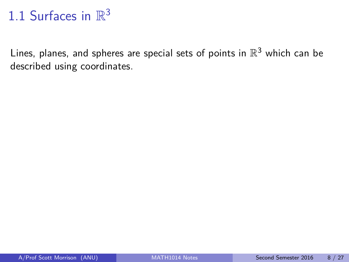# 1.1 Surfaces in  $\mathbb{R}^3$

Lines, planes, and spheres are special sets of points in  $\mathbb{R}^3$  which can be described using coordinates.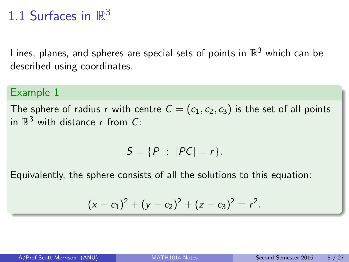# 1.1 Surfaces in  $\mathbb{R}^3$

Lines, planes, and spheres are special sets of points in  $\mathbb{R}^3$  which can be described using coordinates.

#### Example 1

The sphere of radius r with centre  $C = (c_1, c_2, c_3)$  is the set of all points in  $\mathbb{R}^3$  with distance r from C:

$$
S=\{P\;:\;|PC|=r\}.
$$

Equivalently, the sphere consists of all the solutions to this equation:

$$
(x-c1)2 + (y - c2)2 + (z - c3)2 = r2.
$$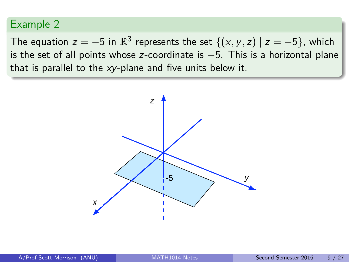The equation  $z = -5$  in  $\mathbb{R}^3$  represents the set  $\{(x, y, z) | z = -5\}$ , which is the set of all points whose z-coordinate is −5. This is a horizontal plane that is parallel to the  $xy$ -plane and five units below it.

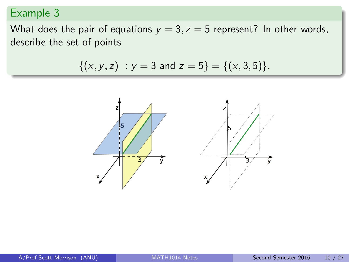What does the pair of equations  $y = 3$ ,  $z = 5$  represent? In other words, describe the set of points

$$
\{(x,y,z) : y = 3 \text{ and } z = 5\} = \{(x,3,5)\}.
$$

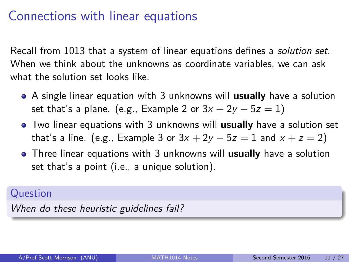## Connections with linear equations

Recall from 1013 that a system of linear equations defines a solution set. When we think about the unknowns as coordinate variables, we can ask what the solution set looks like.

- A single linear equation with 3 unknowns will **usually** have a solution set that's a plane. (e.g., Example 2 or  $3x + 2y - 5z = 1$ )
- Two linear equations with 3 unknowns will **usually** have a solution set that's a line. (e.g., Example 3 or  $3x + 2y - 5z = 1$  and  $x + z = 2$ )
- Three linear equations with 3 unknowns will **usually** have a solution set that's a point (i.e., a unique solution).

### Question

When do these heuristic guidelines fail?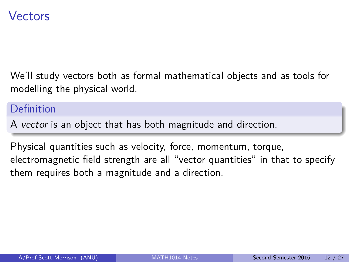### Vectors

We'll study vectors both as formal mathematical objects and as tools for modelling the physical world.

#### Definition

A vector is an object that has both magnitude and direction.

Physical quantities such as velocity, force, momentum, torque, electromagnetic field strength are all "vector quantities" in that to specify them requires both a magnitude and a direction.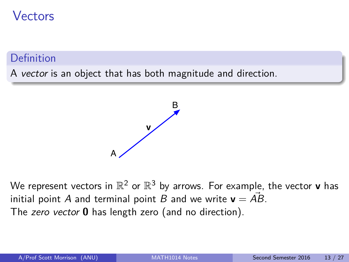### Vectors

### **Definition**

A vector is an object that has both magnitude and direction.



We represent vectors in  $\mathbb{R}^2$  or  $\mathbb{R}^3$  by arrows. For example, the vector **v** has initial point A and terminal point B and we write  $v = \overrightarrow{AB}$ . The zero vector **0** has length zero (and no direction).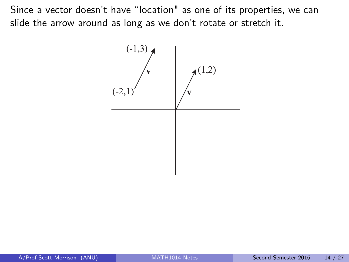Since a vector doesn't have "location" as one of its properties, we can slide the arrow around as long as we don't rotate or stretch it.

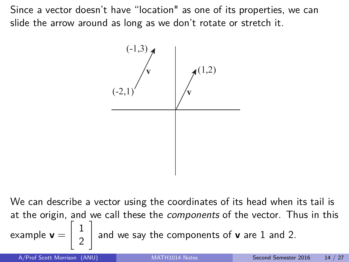Since a vector doesn't have "location" as one of its properties, we can slide the arrow around as long as we don't rotate or stretch it.



We can describe a vector using the coordinates of its head when its tail is at the origin, and we call these the components of the vector. Thus in this example **v** =  $\begin{bmatrix} 1 \end{bmatrix}$ 2 1 and we say the components of **v** are 1 and 2.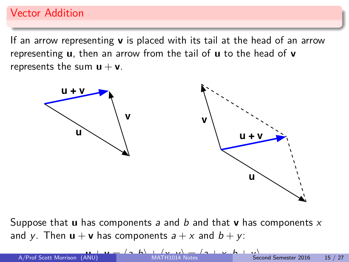### Vector Addition

If an arrow representing **v** is placed with its tail at the head of an arrow representing **u**, then an arrow from the tail of **u** to the head of **v** represents the sum  $u + v$ .



Suppose that **u** has components a and b and that **v** has components x and y. Then  $\mathbf{u} + \mathbf{v}$  has components  $a + x$  and  $b + y$ .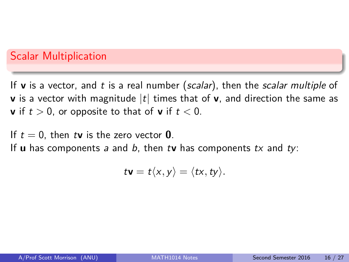### Scalar Multiplication

If **v** is a vector, and t is a real number (scalar), then the scalar multiple of **v** is a vector with magnitude  $|t|$  times that of **v**, and direction the same as **v** if  $t > 0$ , or opposite to that of **v** if  $t < 0$ .

If  $t = 0$ , then t**v** is the zero vector **0**.

If **u** has components a and b, then t**v** has components  $tx$  and  $ty$ :

$$
t\mathbf{v}=t\langle x,y\rangle=\langle tx,ty\rangle.
$$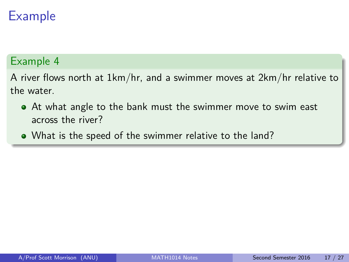### Example 4

A river flows north at 1km/hr, and a swimmer moves at 2km/hr relative to the water.

- At what angle to the bank must the swimmer move to swim east across the river?
- What is the speed of the swimmer relative to the land?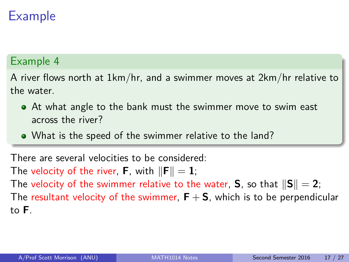### Example 4

A river flows north at 1km/hr, and a swimmer moves at 2km/hr relative to the water.

- At what angle to the bank must the swimmer move to swim east across the river?
- What is the speed of the swimmer relative to the land?

There are several velocities to be considered: The velocity of the river, **F**, with  $\|\mathbf{F}\| = 1$ ; The velocity of the swimmer relative to the water, **S**, so that  $\|\mathbf{S}\| = 2$ ; The resultant velocity of the swimmer,  $F + S$ , which is to be perpendicular to **F**.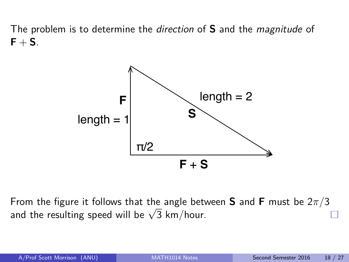The problem is to determine the direction of **S** and the magnitude of  $F + S$ .



From the figure it follows that the angle between **S** and **F** must be 2*π/*3 From the rigure it follows that the angle bett<br>and the resulting speed will be  $\sqrt{3}$  km/hour.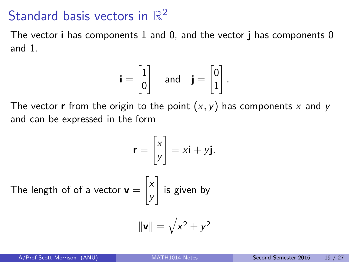# Standard basis vectors in  $\mathbb{R}^2$

The vector **i** has components 1 and 0, and the vector **j** has components 0 and 1.

$$
\mathbf{i} = \begin{bmatrix} 1 \\ 0 \end{bmatrix} \quad \text{and} \quad \mathbf{j} = \begin{bmatrix} 0 \\ 1 \end{bmatrix}.
$$

The vector **r** from the origin to the point  $(x, y)$  has components x and y and can be expressed in the form

$$
\mathbf{r} = \begin{bmatrix} x \\ y \end{bmatrix} = x\mathbf{i} + y\mathbf{j}.
$$
  
The length of of a vector  $\mathbf{v} = \begin{bmatrix} x \\ y \end{bmatrix}$  is given by  

$$
\|\mathbf{v}\| = \sqrt{x^2 + y^2}
$$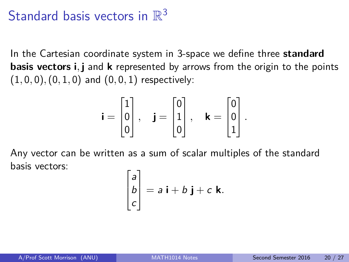# Standard basis vectors in  $\mathbb{R}^3$

In the Cartesian coordinate system in 3-space we define three **standard basis vectors i***,* **j** and **k** represented by arrows from the origin to the points (1*,* 0*,* 0)*,*(0*,* 1*,* 0) and (0*,* 0*,* 1) respectively:

$$
\mathbf{i} = \begin{bmatrix} 1 \\ 0 \\ 0 \end{bmatrix}, \quad \mathbf{j} = \begin{bmatrix} 0 \\ 1 \\ 0 \end{bmatrix}, \quad \mathbf{k} = \begin{bmatrix} 0 \\ 0 \\ 1 \end{bmatrix}.
$$

Any vector can be written as a sum of scalar multiples of the standard basis vectors:

$$
\begin{bmatrix} a \\ b \\ c \end{bmatrix} = a \mathbf{i} + b \mathbf{j} + c \mathbf{k}.
$$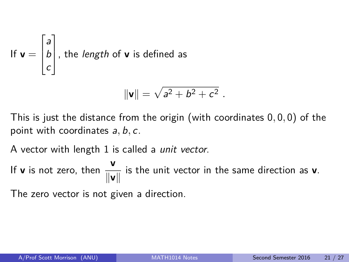If 
$$
\mathbf{v} = \begin{bmatrix} a \\ b \\ c \end{bmatrix}
$$
, the length of **v** is defined as

$$
\|\mathbf{v}\| = \sqrt{a^2 + b^2 + c^2} \; .
$$

This is just the distance from the origin (with coordinates 0*,* 0*,* 0) of the point with coordinates a*,* b*,* c.

A vector with length 1 is called a unit vector.

If **v** is not zero, then  $\frac{v}{\|v\|}$  is the unit vector in the same direction as **v**.

The zero vector is not given a direction.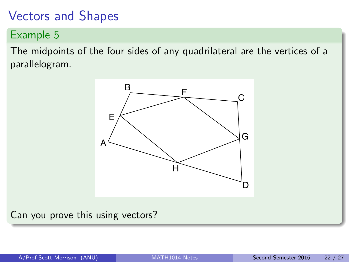## Vectors and Shapes

Example 5

The midpoints of the four sides of any quadrilateral are the vertices of a parallelogram.



Can you prove this using vectors?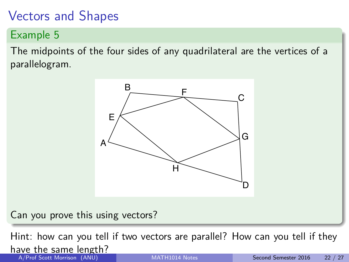# Vectors and Shapes

Example 5

The midpoints of the four sides of any quadrilateral are the vertices of a parallelogram.



Can you prove this using vectors?

Hint: how can you tell if two vectors are parallel? How can you tell if they have the same length? A/Prof Scott Morrison (ANU) [MATH1014 Notes](#page-0-0) Second Semester 2016 22 / 27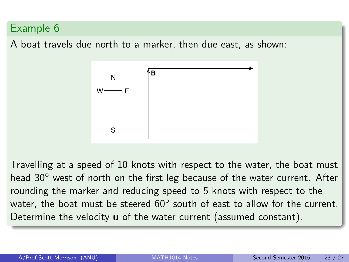A boat travels due north to a marker, then due east, as shown:



Travelling at a speed of 10 knots with respect to the water, the boat must head 30° west of north on the first leg because of the water current. After rounding the marker and reducing speed to 5 knots with respect to the water, the boat must be steered  $60^{\circ}$  south of east to allow for the current. Determine the velocity **u** of the water current (assumed constant).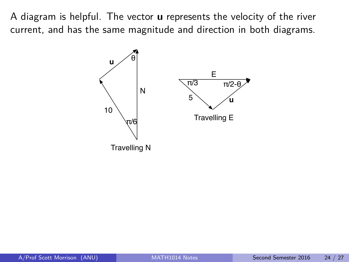A diagram is helpful. The vector **u** represents the velocity of the river current, and has the same magnitude and direction in both diagrams.

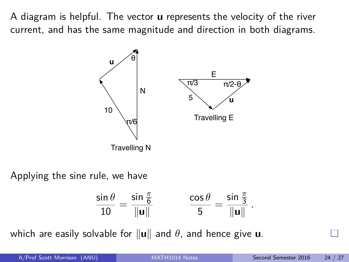A diagram is helpful. The vector **u** represents the velocity of the river current, and has the same magnitude and direction in both diagrams.



Applying the sine rule, we have

$$
\frac{\sin \theta}{10} = \frac{\sin \frac{\pi}{6}}{\|\mathbf{u}\|} \qquad \qquad \frac{\cos \theta}{5} = \frac{\sin \frac{\pi}{3}}{\|\mathbf{u}\|}.
$$

which are easily solvable for  $\|\mathbf{u}\|$  and  $\theta$ , and hence give **u**.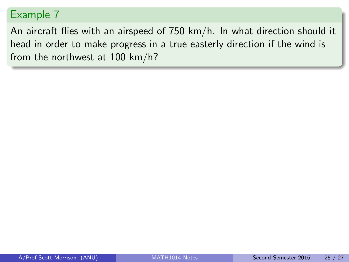An aircraft flies with an airspeed of 750 km/h. In what direction should it head in order to make progress in a true easterly direction if the wind is from the northwest at 100 km/h?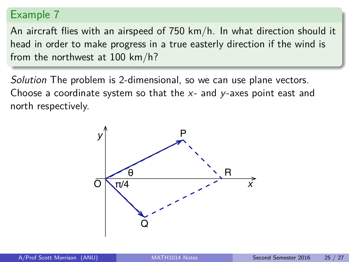An aircraft flies with an airspeed of 750 km/h. In what direction should it head in order to make progress in a true easterly direction if the wind is from the northwest at 100 km/h?

Solution The problem is 2-dimensional, so we can use plane vectors. Choose a coordinate system so that the  $x$ - and  $y$ -axes point east and north respectively.

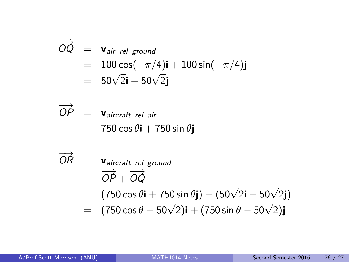$$
\overrightarrow{OQ} = \mathbf{v}_{air\ rel\ ground}
$$
  
= 100 cos(-\pi/4)\mathbf{i} + 100 sin(-\pi/4)\mathbf{j}  
= 50\sqrt{2}\mathbf{i} - 50\sqrt{2}\mathbf{j}

$$
\overrightarrow{OP} = \text{V} \text{air} \text{craft rel air}
$$
  
= 750 cos  $\theta$ **i** + 750 sin  $\theta$ **j**

$$
\overrightarrow{OR} = \text{V} \overrightarrow{a} \overrightarrow{ircraft rel ground}
$$
  
= 
$$
\overrightarrow{OP} + \overrightarrow{OQ}
$$

$$
= (750 \cos \theta \mathbf{i} + 750 \sin \theta \mathbf{j}) + (50\sqrt{2}\mathbf{i} - 50\sqrt{2}\mathbf{j})
$$

$$
= (750 \cos \theta + 50 \sqrt{2})\mathbf{i} + (750 \sin \theta - 50 \sqrt{2})\mathbf{j}
$$